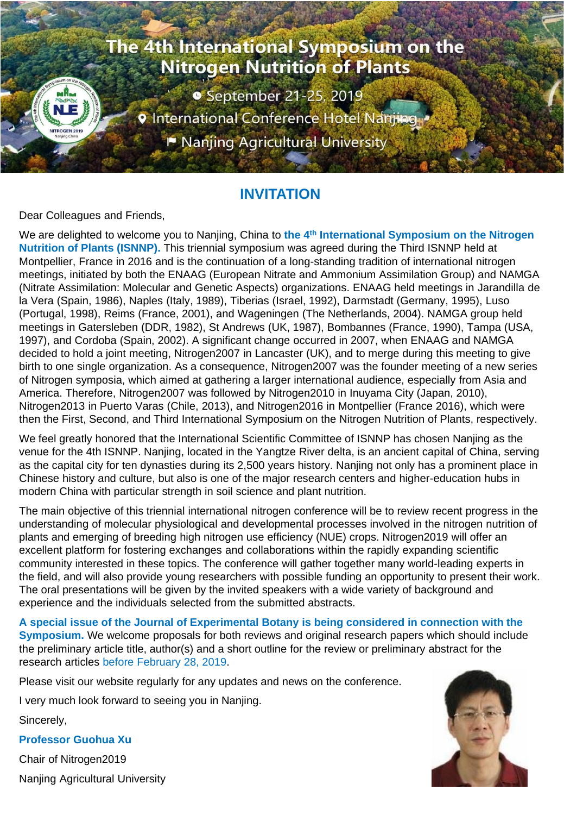# The 4th International Symposium on the **Nitrogen Nutrition of Plants • September 21-25, 2019 9 International Conference Hotel Nanjing**

P Nanjing Agricultural University

### **INVITATION**

Dear Colleagues and Friends,

We are delighted to welcome you to Nanjing, China to **the 4th International Symposium on the Nitrogen Nutrition of Plants (ISNNP).** This triennial symposium was agreed during the Third ISNNP held at Montpellier, France in 2016 and is the continuation of a long-standing tradition of international nitrogen meetings, initiated by both the ENAAG (European Nitrate and Ammonium Assimilation Group) and NAMGA (Nitrate Assimilation: Molecular and Genetic Aspects) organizations. ENAAG held meetings in Jarandilla de la Vera (Spain, 1986), Naples (Italy, 1989), Tiberias (Israel, 1992), Darmstadt (Germany, 1995), Luso (Portugal, 1998), Reims (France, 2001), and Wageningen (The Netherlands, 2004). NAMGA group held meetings in Gatersleben (DDR, 1982), St Andrews (UK, 1987), Bombannes (France, 1990), Tampa (USA, 1997), and Cordoba (Spain, 2002). A significant change occurred in 2007, when ENAAG and NAMGA decided to hold a joint meeting, Nitrogen2007 in Lancaster (UK), and to merge during this meeting to give birth to one single organization. As a consequence, Nitrogen2007 was the founder meeting of a new series of Nitrogen symposia, which aimed at gathering a larger international audience, especially from Asia and America. Therefore, Nitrogen2007 was followed by Nitrogen2010 in Inuyama City (Japan, 2010), Nitrogen2013 in Puerto Varas (Chile, 2013), and Nitrogen2016 in Montpellier (France 2016), which were then the First, Second, and Third International Symposium on the Nitrogen Nutrition of Plants, respectively.

We feel greatly honored that the International Scientific Committee of ISNNP has chosen Nanjing as the venue for the 4th ISNNP. Nanjing, located in the Yangtze River delta, is an ancient capital of China, serving as the capital city for ten dynasties during its 2,500 years history. Nanjing not only has a prominent place in Chinese history and culture, but also is one of the major research centers and higher-education hubs in modern China with particular strength in soil science and plant nutrition.

The main objective of this triennial international nitrogen conference will be to review recent progress in the understanding of molecular physiological and developmental processes involved in the nitrogen nutrition of plants and emerging of breeding high nitrogen use efficiency (NUE) crops. Nitrogen2019 will offer an excellent platform for fostering exchanges and collaborations within the rapidly expanding scientific community interested in these topics. The conference will gather together many world-leading experts in the field, and will also provide young researchers with possible funding an opportunity to present their work. The oral presentations will be given by the invited speakers with a wide variety of background and experience and the individuals selected from the submitted abstracts.

**A special issue of the Journal of Experimental Botany is being considered in connection with the Symposium.** We welcome proposals for both reviews and original research papers which should include the preliminary article title, author(s) and a short outline for the review or preliminary abstract for the research articles before February 28, 2019.

Please visit our website regularly for any updates and news on the conference.

I very much look forward to seeing you in Nanjing.

Sincerely,

**Professor Guohua Xu**

Chair of Nitrogen2019 Nanjing Agricultural University

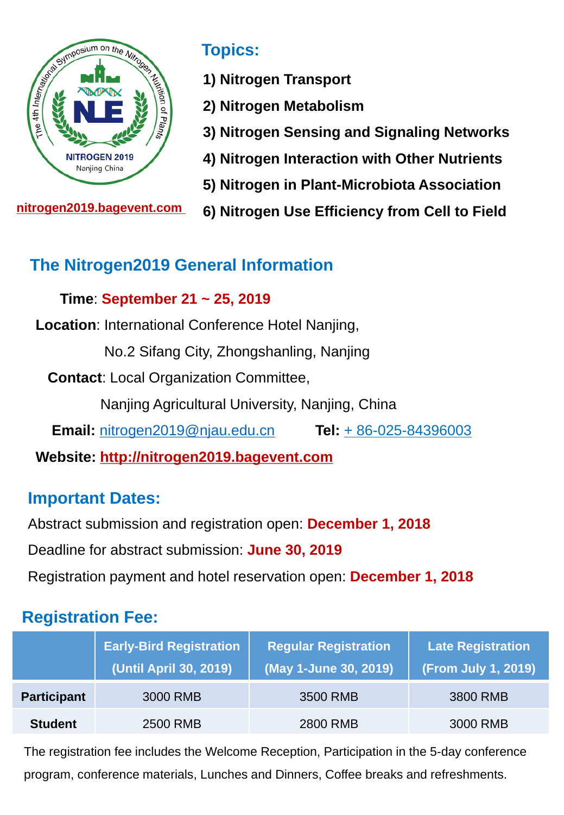

**nitrogen2019.bagevent.com** 

### **Topics:**

- **1) Nitrogen Transport**
- **2) Nitrogen Metabolism**
- **3) Nitrogen Sensing and Signaling Networks**
- **4) Nitrogen Interaction with Other Nutrients**
- **5) Nitrogen in Plant-Microbiota Association**
- **6) Nitrogen Use Efficiency from Cell to Field**

# **The Nitrogen2019 General Information**

#### **Time**: **September 21 ~ 25, 2019**

**Location**: International Conference Hotel Nanjing,

No.2 Sifang City, Zhongshanling, Nanjing

**Contact**: Local Organization Committee,

Nanjing Agricultural University, Nanjing, China

**Email:** [nitrogen2019@njau.edu.cn](mailto:nitrogen2019@njau.edu.cn) **Tel:** + 86-025-84396003

**Website: http://nitrogen2019.bagevent.com** 

### **Important Dates:**

Abstract submission and registration open: **December 1, 2018**

Deadline for abstract submission: **June 30, 2019**

Registration payment and hotel reservation open: **December 1, 2018**

### **Registration Fee:**

|                    | <b>Early-Bird Registration</b><br>(Until April 30, 2019) | <b>Regular Registration</b><br>(May 1-June 30, 2019) | <b>Late Registration</b><br>(From July 1, 2019) |
|--------------------|----------------------------------------------------------|------------------------------------------------------|-------------------------------------------------|
| <b>Participant</b> | 3000 RMB                                                 | 3500 RMB                                             | 3800 RMB                                        |
| <b>Student</b>     | 2500 RMB                                                 | 2800 RMB                                             | 3000 RMB                                        |

The registration fee includes the Welcome Reception, Participation in the 5-day conference program, conference materials, Lunches and Dinners, Coffee breaks and refreshments.